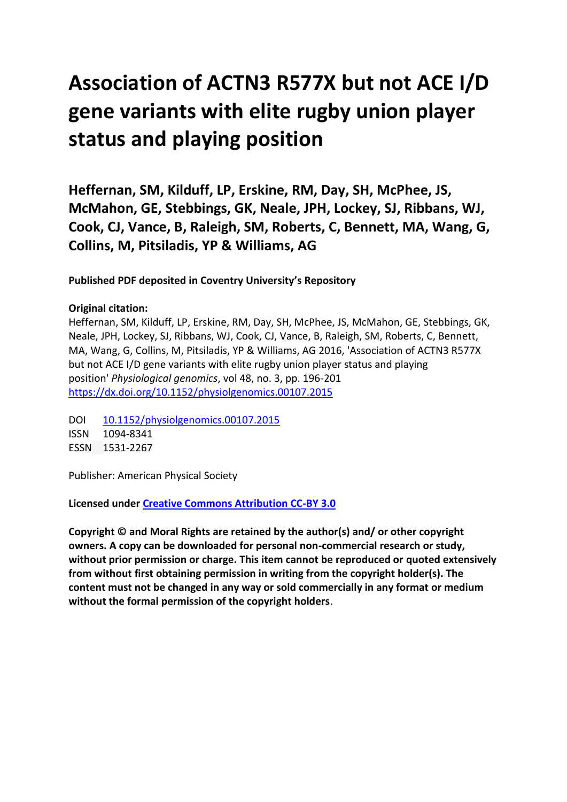# **Association of ACTN3 R577X but not ACE I/D gene variants with elite rugby union player status and playing position**

**Heffernan, SM, Kilduff, LP, Erskine, RM, Day, SH, McPhee, JS, McMahon, GE, Stebbings, GK, Neale, JPH, Lockey, SJ, Ribbans, WJ, Cook, CJ, Vance, B, Raleigh, SM, Roberts, C, Bennett, MA, Wang, G, Collins, M, Pitsiladis, YP & Williams, AG**

**Published PDF deposited in Coventry University's Repository**

## **Original citation:**

Heffernan, SM, Kilduff, LP, Erskine, RM, Day, SH, McPhee, JS, McMahon, GE, Stebbings, GK, Neale, JPH, Lockey, SJ, Ribbans, WJ, Cook, CJ, Vance, B, Raleigh, SM, Roberts, C, Bennett, MA, Wang, G, Collins, M, Pitsiladis, YP & Williams, AG 2016, 'Association of ACTN3 R577X but not ACE I/D gene variants with elite rugby union player status and playing position' *Physiological genomics*, vol 48, no. 3, pp. 196-201 [https://dx.doi.org/10.1152/physiolgenomics.00107.2015](https://dx.doi.org/%5bDOI%5d)

DOI [10.1152/physiolgenomics.00107.2015](http://dx.doi.org/10.1152/physiolgenomics.00107.2015) ISSN 1094-8341 ESSN 1531-2267

Publisher: American Physical Society

**Licensed under [Creative Commons Attribution CC-BY 3.0](http://creativecommons.org/licenses/by/3.0/deed.en_US)**

**Copyright © and Moral Rights are retained by the author(s) and/ or other copyright owners. A copy can be downloaded for personal non-commercial research or study, without prior permission or charge. This item cannot be reproduced or quoted extensively from without first obtaining permission in writing from the copyright holder(s). The content must not be changed in any way or sold commercially in any format or medium without the formal permission of the copyright holders**.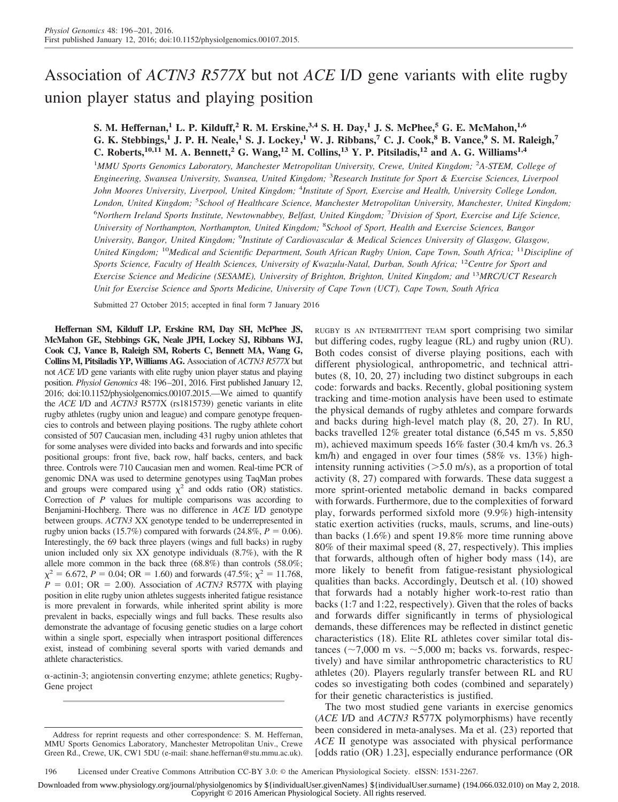# Association of *ACTN3 R577X* but not *ACE* I/D gene variants with elite rugby union player status and playing position

### **S. M. Heffernan,<sup>1</sup> L. P. Kilduff,<sup>2</sup> R. M. Erskine,3,4 S. H. Day,<sup>1</sup> J. S. McPhee,<sup>5</sup> G. E. McMahon,1,6 G. K. Stebbings,<sup>1</sup> J. P. H. Neale,<sup>1</sup> S. J. Lockey,<sup>1</sup> W. J. Ribbans,<sup>7</sup> C. J. Cook,<sup>8</sup> B. Vance,<sup>9</sup> S. M. Raleigh,<sup>7</sup>** C. Roberts,<sup> $10,11$ </sup> M. A. Bennett,<sup>2</sup> G. Wang,<sup> $12$ </sup> M. Collins,<sup> $13$ </sup> Y. P. Pitsiladis,<sup> $12$ </sup> and A. G. Williams<sup>1,4</sup>

1 *MMU Sports Genomics Laboratory, Manchester Metropolitan University, Crewe, United Kingdom;* <sup>2</sup> *A-STEM, College of Engineering, Swansea University, Swansea, United Kingdom;* <sup>3</sup> *Research Institute for Sport & Exercise Sciences, Liverpool John Moores University, Liverpool, United Kingdom;* <sup>4</sup> *Institute of Sport, Exercise and Health, University College London, London, United Kingdom;* <sup>5</sup> *School of Healthcare Science, Manchester Metropolitan University, Manchester, United Kingdom;* 6 *Northern Ireland Sports Institute, Newtownabbey, Belfast, United Kingdom;* <sup>7</sup> *Division of Sport, Exercise and Life Science, University of Northampton, Northampton, United Kingdom;* <sup>8</sup> *School of Sport, Health and Exercise Sciences, Bangor University, Bangor, United Kingdom;* <sup>9</sup> *Institute of Cardiovascular & Medical Sciences University of Glasgow, Glasgow, United Kingdom;* <sup>10</sup>*Medical and Scientific Department, South African Rugby Union, Cape Town, South Africa;* <sup>11</sup>*Discipline of Sports Science, Faculty of Health Sciences, University of Kwazulu-Natal, Durban, South Africa;* <sup>12</sup>*Centre for Sport and Exercise Science and Medicine (SESAME), University of Brighton, Brighton, United Kingdom; and* <sup>13</sup>*MRC/UCT Research Unit for Exercise Science and Sports Medicine, University of Cape Town (UCT), Cape Town, South Africa*

Submitted 27 October 2015; accepted in final form 7 January 2016

**Heffernan SM, Kilduff LP, Erskine RM, Day SH, McPhee JS, McMahon GE, Stebbings GK, Neale JPH, Lockey SJ, Ribbans WJ, Cook CJ, Vance B, Raleigh SM, Roberts C, Bennett MA, Wang G, Collins M, Pitsiladis YP, Williams AG.** Association of *ACTN3 R577X* but not *ACE* I/D gene variants with elite rugby union player status and playing position. *Physiol Genomics* 48: 196–201, 2016. First published January 12, 2016; doi:10.1152/physiolgenomics.00107.2015.—We aimed to quantify the *ACE* I/D and *ACTN3* R577X (rs1815739) genetic variants in elite rugby athletes (rugby union and league) and compare genotype frequencies to controls and between playing positions. The rugby athlete cohort consisted of 507 Caucasian men, including 431 rugby union athletes that for some analyses were divided into backs and forwards and into specific positional groups: front five, back row, half backs, centers, and back three. Controls were 710 Caucasian men and women. Real-time PCR of genomic DNA was used to determine genotypes using TaqMan probes and groups were compared using  $\chi^2$  and odds ratio (OR) statistics. Correction of *P* values for multiple comparisons was according to Benjamini-Hochberg. There was no difference in *ACE* I/D genotype between groups. *ACTN3* XX genotype tended to be underrepresented in rugby union backs (15.7%) compared with forwards (24.8%,  $P = 0.06$ ). Interestingly, the 69 back three players (wings and full backs) in rugby union included only six XX genotype individuals (8.7%), with the R allele more common in the back three (68.8%) than controls (58.0%;  $\chi^2 = 6.672$ ,  $P = 0.04$ ; OR = 1.60) and forwards (47.5%;  $\chi^2 = 11.768$ ,  $P = 0.01$ ; OR = 2.00). Association of *ACTN3* R577X with playing position in elite rugby union athletes suggests inherited fatigue resistance is more prevalent in forwards, while inherited sprint ability is more prevalent in backs, especially wings and full backs. These results also demonstrate the advantage of focusing genetic studies on a large cohort within a single sport, especially when intrasport positional differences exist, instead of combining several sports with varied demands and athlete characteristics.

 $\alpha$ -actinin-3; angiotensin converting enzyme; athlete genetics; Rugby-Gene project

RUGBY IS AN INTERMITTENT TEAM sport comprising two similar but differing codes, rugby league (RL) and rugby union (RU). Both codes consist of diverse playing positions, each with different physiological, anthropometric, and technical attributes (8, 10, 20, 27) including two distinct subgroups in each code: forwards and backs. Recently, global positioning system tracking and time-motion analysis have been used to estimate the physical demands of rugby athletes and compare forwards and backs during high-level match play (8, 20, 27). In RU, backs travelled 12% greater total distance (6,545 m vs. 5,850 m), achieved maximum speeds 16% faster (30.4 km/h vs. 26.3 km/h) and engaged in over four times (58% vs. 13%) highintensity running activities  $(>=5.0 \text{ m/s})$ , as a proportion of total activity (8, 27) compared with forwards. These data suggest a more sprint-oriented metabolic demand in backs compared with forwards. Furthermore, due to the complexities of forward play, forwards performed sixfold more (9.9%) high-intensity static exertion activities (rucks, mauls, scrums, and line-outs) than backs (1.6%) and spent 19.8% more time running above 80% of their maximal speed (8, 27, respectively). This implies that forwards, although often of higher body mass (14), are more likely to benefit from fatigue-resistant physiological qualities than backs. Accordingly, Deutsch et al. (10) showed that forwards had a notably higher work-to-rest ratio than backs (1:7 and 1:22, respectively). Given that the roles of backs and forwards differ significantly in terms of physiological demands, these differences may be reflected in distinct genetic characteristics (18). Elite RL athletes cover similar total distances ( $\sim$ 7,000 m vs.  $\sim$ 5,000 m; backs vs. forwards, respectively) and have similar anthropometric characteristics to RU athletes (20). Players regularly transfer between RL and RU codes so investigating both codes (combined and separately) for their genetic characteristics is justified.

The two most studied gene variants in exercise genomics (*ACE* I/D and *ACTN3* R577X polymorphisms) have recently been considered in meta-analyses. Ma et al. (23) reported that *ACE* II genotype was associated with physical performance [odds ratio (OR) 1.23], especially endurance performance (OR

Downloaded from www.physiology.org/journal/physiolgenomics by \${individualUser.givenNames} \${individualUser.surname} (194.066.032.010) on May 2, 2018. Copyright © 2016 American Physiological Society. All rights reserved.

Address for reprint requests and other correspondence: S. M. Heffernan, MMU Sports Genomics Laboratory, Manchester Metropolitan Univ., Crewe Green Rd., Crewe, UK, CW1 5DU (e-mail: [shane.heffernan@stu.mmu.ac.uk\)](mailto:shane.heffernan@stu.mmu.ac.uk).

<sup>196</sup> Licensed under [Creative Commons Attribution CC-BY 3.0:](http://creativecommons.org/licenses/by/3.0/deed.en_US) © the American Physiological Society. eISSN: 1531-2267.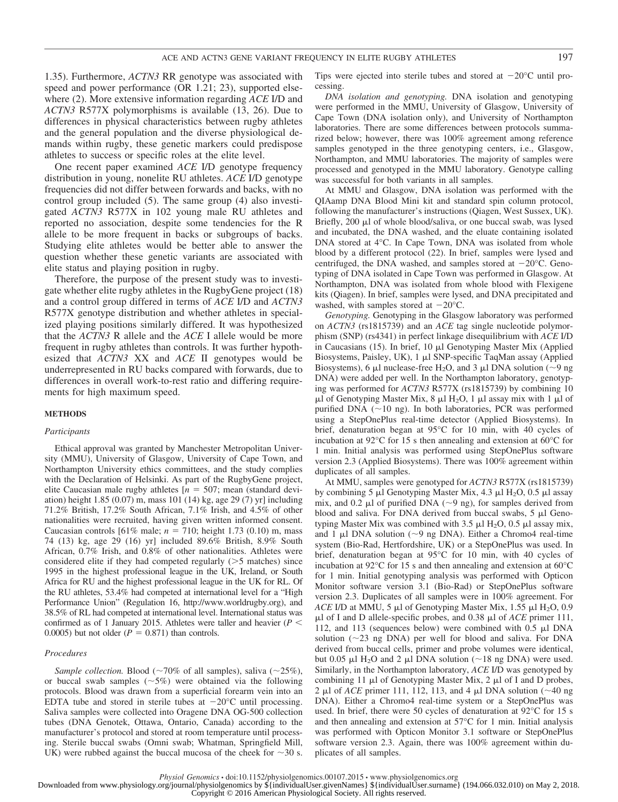1.35). Furthermore, *ACTN3* RR genotype was associated with speed and power performance (OR 1.21; 23), supported elsewhere (2). More extensive information regarding *ACE* I/D and *ACTN3* R577X polymorphisms is available (13, 26). Due to differences in physical characteristics between rugby athletes and the general population and the diverse physiological demands within rugby, these genetic markers could predispose athletes to success or specific roles at the elite level.

One recent paper examined *ACE* I/D genotype frequency distribution in young, nonelite RU athletes. *ACE* I/D genotype frequencies did not differ between forwards and backs, with no control group included (5). The same group (4) also investigated *ACTN3* R577X in 102 young male RU athletes and reported no association, despite some tendencies for the R allele to be more frequent in backs or subgroups of backs. Studying elite athletes would be better able to answer the question whether these genetic variants are associated with elite status and playing position in rugby.

Therefore, the purpose of the present study was to investigate whether elite rugby athletes in the RugbyGene project (18) and a control group differed in terms of *ACE* I/D and *ACTN3* R577X genotype distribution and whether athletes in specialized playing positions similarly differed. It was hypothesized that the *ACTN3* R allele and the *ACE* I allele would be more frequent in rugby athletes than controls. It was further hypothesized that *ACTN3* XX and *ACE* II genotypes would be underrepresented in RU backs compared with forwards, due to differences in overall work-to-rest ratio and differing requirements for high maximum speed.

#### **METHODS**

#### *Participants*

Ethical approval was granted by Manchester Metropolitan University (MMU), University of Glasgow, University of Cape Town, and Northampton University ethics committees, and the study complies with the Declaration of Helsinki. As part of the RugbyGene project, elite Caucasian male rugby athletes  $[n = 507;$  mean (standard deviation) height 1.85 (0.07) m, mass 101 (14) kg, age 29 (7) yr] including 71.2% British, 17.2% South African, 7.1% Irish, and 4.5% of other nationalities were recruited, having given written informed consent. Caucasian controls  $[61\% \text{ male}; n = 710; \text{ height } 1.73 (0.10) \text{ m}, \text{mass}$ 74 (13) kg, age 29 (16) yr] included 89.6% British, 8.9% South African, 0.7% Irish, and 0.8% of other nationalities. Athletes were considered elite if they had competed regularly  $($ >5 matches) since 1995 in the highest professional league in the UK, Ireland, or South Africa for RU and the highest professional league in the UK for RL. Of the RU athletes, 53.4% had competed at international level for a "High Performance Union" (Regulation 16, [http://www.worldrugby.org\)](http://www.worldrugby.org), and 38.5% of RL had competed at international level. International status was confirmed as of 1 January 2015. Athletes were taller and heavier ( $P <$ 0.0005) but not older  $(P = 0.871)$  than controls.

#### *Procedures*

*Sample collection.* Blood ( $\sim$ 70% of all samples), saliva ( $\sim$ 25%), or buccal swab samples  $(\sim 5\%)$  were obtained via the following protocols. Blood was drawn from a superficial forearm vein into an EDTA tube and stored in sterile tubes at  $-20^{\circ}$ C until processing. Saliva samples were collected into Oragene DNA OG-500 collection tubes (DNA Genotek, Ottawa, Ontario, Canada) according to the manufacturer's protocol and stored at room temperature until processing. Sterile buccal swabs (Omni swab; Whatman, Springfield Mill, UK) were rubbed against the buccal mucosa of the cheek for  $\sim$ 30 s.

Tips were ejected into sterile tubes and stored at  $-20^{\circ}$ C until processing.

*DNA isolation and genotyping.* DNA isolation and genotyping were performed in the MMU, University of Glasgow, University of Cape Town (DNA isolation only), and University of Northampton laboratories. There are some differences between protocols summarized below; however, there was 100% agreement among reference samples genotyped in the three genotyping centers, i.e., Glasgow, Northampton, and MMU laboratories. The majority of samples were processed and genotyped in the MMU laboratory. Genotype calling was successful for both variants in all samples.

At MMU and Glasgow, DNA isolation was performed with the QIAamp DNA Blood Mini kit and standard spin column protocol, following the manufacturer's instructions (Qiagen, West Sussex, UK). Briefly, 200 µl of whole blood/saliva, or one buccal swab, was lysed and incubated, the DNA washed, and the eluate containing isolated DNA stored at 4°C. In Cape Town, DNA was isolated from whole blood by a different protocol (22). In brief, samples were lysed and centrifuged, the DNA washed, and samples stored at  $-20^{\circ}$ C. Genotyping of DNA isolated in Cape Town was performed in Glasgow. At Northampton, DNA was isolated from whole blood with Flexigene kits (Qiagen). In brief, samples were lysed, and DNA precipitated and washed, with samples stored at  $-20^{\circ}$ C.

*Genotyping.* Genotyping in the Glasgow laboratory was performed on *ACTN3* (rs1815739) and an *ACE* tag single nucleotide polymorphism (SNP) (rs4341) in perfect linkage disequilibrium with *ACE* I/D in Caucasians  $(15)$ . In brief,  $10 \mu l$  Genotyping Master Mix (Applied Biosystems, Paisley, UK),  $1 \mu$ l SNP-specific TaqMan assay (Applied Biosystems), 6  $\mu$ l nuclease-free H<sub>2</sub>O, and 3  $\mu$ l DNA solution (~9 ng DNA) were added per well. In the Northampton laboratory, genotyping was performed for *ACTN3* R577X (rs1815739) by combining 10  $\mu$ l of Genotyping Master Mix, 8  $\mu$ l H<sub>2</sub>O, 1  $\mu$ l assay mix with 1  $\mu$ l of purified DNA  $(\sim 10 \text{ ng})$ . In both laboratories, PCR was performed using a StepOnePlus real-time detector (Applied Biosystems). In brief, denaturation began at 95°C for 10 min, with 40 cycles of incubation at 92°C for 15 s then annealing and extension at 60°C for 1 min. Initial analysis was performed using StepOnePlus software version 2.3 (Applied Biosystems). There was 100% agreement within duplicates of all samples.

At MMU, samples were genotyped for *ACTN3* R577X (rs1815739) by combining 5  $\mu$ l Genotyping Master Mix, 4.3  $\mu$ l H<sub>2</sub>O, 0.5  $\mu$ l assay mix, and 0.2  $\mu$ l of purified DNA ( $\sim$ 9 ng), for samples derived from blood and saliva. For DNA derived from buccal swabs,  $5 \mu$ l Genotyping Master Mix was combined with 3.5  $\mu$ l H<sub>2</sub>O, 0.5  $\mu$ l assay mix, and 1  $\mu$ l DNA solution (~9 ng DNA). Either a Chromo4 real-time system (Bio-Rad, Hertfordshire, UK) or a StepOnePlus was used. In brief, denaturation began at 95°C for 10 min, with 40 cycles of incubation at 92°C for 15 s and then annealing and extension at 60°C for 1 min. Initial genotyping analysis was performed with Opticon Monitor software version 3.1 (Bio-Rad) or StepOnePlus software version 2.3. Duplicates of all samples were in 100% agreement. For *ACE* I/D at MMU, 5  $\mu$ l of Genotyping Master Mix, 1.55  $\mu$ l H<sub>2</sub>O, 0.9  $\mu$ l of I and D allele-specific probes, and 0.38  $\mu$ l of *ACE* primer 111, 112, and 113 (sequences below) were combined with  $0.5 \mu$ I DNA solution  $(\sim 23$  ng DNA) per well for blood and saliva. For DNA derived from buccal cells, primer and probe volumes were identical, but 0.05  $\mu$ l H<sub>2</sub>O and 2  $\mu$ l DNA solution (~18 ng DNA) were used. Similarly, in the Northampton laboratory, *ACE* I/D was genotyped by combining 11  $\mu$ l of Genotyping Master Mix, 2  $\mu$ l of I and D probes, 2  $\mu$ l of *ACE* primer 111, 112, 113, and 4  $\mu$ l DNA solution (~40 ng DNA). Either a Chromo4 real-time system or a StepOnePlus was used. In brief, there were 50 cycles of denaturation at 92°C for 15 s and then annealing and extension at 57°C for 1 min. Initial analysis was performed with Opticon Monitor 3.1 software or StepOnePlus software version 2.3. Again, there was 100% agreement within duplicates of all samples.

Downloaded from www.physiology.org/journal/physiolgenomics by \${individualUser.givenNames} \${individualUser.surname} (194.066.032.010) on May 2, 2018.

Copyright © 2016 American Physiological Society. All rights reserved.

*Physiol Genomics* • doi:10.1152/physiolgenomics.00107.2015 • www.physiolgenomics.org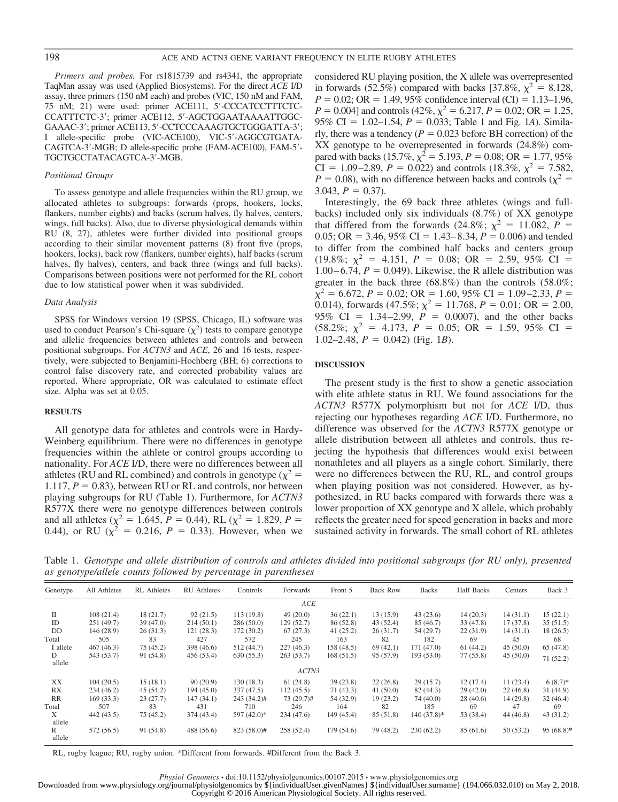*Primers and probes.* For rs1815739 and rs4341, the appropriate TaqMan assay was used (Applied Biosystems). For the direct *ACE* I/D assay, three primers (150 nM each) and probes (VIC, 150 nM and FAM, 75 nM; 21) were used: primer ACE111, 5'-CCCATCCTTTCTC-CCATTTCTC-3'; primer ACE112, 5'-AGCTGGAATAAAATTGGC-GAAAC-3'; primer ACE113, 5'-CCTCCCAAAGTGCTGGGATTA-3'; I allele-specific probe (VIC-ACE100), VIC-5'-AGGCGTGATA-CAGTCA-3'-MGB; D allele-specific probe (FAM-ACE100), FAM-5'-TGCTGCCTATACAGTCA-3'-MGB.

#### *Positional Groups*

To assess genotype and allele frequencies within the RU group, we allocated athletes to subgroups: forwards (props, hookers, locks, flankers, number eights) and backs (scrum halves, fly halves, centers, wings, full backs). Also, due to diverse physiological demands within RU (8, 27), athletes were further divided into positional groups according to their similar movement patterns (8) front five (props, hookers, locks), back row (flankers, number eights), half backs (scrum halves, fly halves), centers, and back three (wings and full backs). Comparisons between positions were not performed for the RL cohort due to low statistical power when it was subdivided.

#### *Data Analysis*

SPSS for Windows version 19 (SPSS, Chicago, IL) software was used to conduct Pearson's Chi-square  $(\chi^2)$  tests to compare genotype and allelic frequencies between athletes and controls and between positional subgroups. For *ACTN3* and *ACE*, 26 and 16 tests, respectively, were subjected to Benjamini-Hochberg (BH; 6) corrections to control false discovery rate, and corrected probability values are reported. Where appropriate, OR was calculated to estimate effect size. Alpha was set at 0.05.

#### **RESULTS**

All genotype data for athletes and controls were in Hardy-Weinberg equilibrium. There were no differences in genotype frequencies within the athlete or control groups according to nationality. For *ACE* I/D, there were no differences between all athletes (RU and RL combined) and controls in genotype ( $\chi^2$  = 1.117,  $P = 0.83$ ), between RU or RL and controls, nor between playing subgroups for RU (Table 1). Furthermore, for *ACTN3* R577X there were no genotype differences between controls and all athletes ( $\chi^2 = 1.645$ ,  $P = 0.44$ ), RL ( $\chi^2 = 1.829$ ,  $P =$ 0.44), or RU  $(\chi^2 = 0.216, P = 0.33)$ . However, when we

considered RU playing position, the X allele was overrepresented in forwards (52.5%) compared with backs [37.8%,  $\chi^2 = 8.128$ ,  $P = 0.02$ ; OR = 1.49, 95% confidence interval (CI) = 1.13–1.96,  $P = 0.004$ ] and controls (42%,  $\chi^2 = 6.217$ ,  $P = 0.02$ ; OR = 1.25, 95% CI = 1.02–1.54,  $P = 0.033$ ; Table 1 and Fig. 1*A*). Similarly, there was a tendency  $(P = 0.023$  before BH correction) of the XX genotype to be overrepresented in forwards (24.8%) compared with backs (15.7%,  $\chi^2 = 5.193$ ,  $P = 0.08$ ; OR = 1.77, 95% CI = 1.09–2.89,  $P = 0.022$ ) and controls (18.3%,  $\chi^2 = 7.582$ ,  $P = 0.08$ ), with no difference between backs and controls ( $\chi^2 =$ 3.043,  $P = 0.37$ ).

Interestingly, the 69 back three athletes (wings and fullbacks) included only six individuals (8.7%) of XX genotype that differed from the forwards (24.8%;  $\chi^2 = 11.082$ ,  $\dot{P} =$ 0.05; OR = 3.46, 95% CI = 1.43–8.34,  $P = 0.006$ ) and tended to differ from the combined half backs and centers group  $(19.8\%; \chi^2 = 4.151, P = 0.08; \text{ OR } = 2.59, 95\% \text{ CI } =$  $1.00 - 6.74$ ,  $P = 0.049$ ). Likewise, the R allele distribution was greater in the back three (68.8%) than the controls (58.0%;  $\chi^2$  = 6.672, *P* = 0.02; OR = 1.60, 95% CI = 1.09–2.33, *P* = 0.014), forwards  $(47.5\%; \chi^2 = 11.768, P = 0.01; \text{ OR } = 2.00,$ 95% CI =  $1.34 - 2.99$ ,  $P = 0.0007$ ), and the other backs  $(58.2\%; \chi^2 = 4.173, P = 0.05; \text{ OR } = 1.59, 95\% \text{ CI } =$  $1.02-2.48$ ,  $P = 0.042$ ) (Fig. 1*B*).

#### **DISCUSSION**

The present study is the first to show a genetic association with elite athlete status in RU. We found associations for the *ACTN3* R577X polymorphism but not for *ACE* I/D, thus rejecting our hypotheses regarding *ACE* I/D. Furthermore, no difference was observed for the *ACTN3* R577X genotype or allele distribution between all athletes and controls, thus rejecting the hypothesis that differences would exist between nonathletes and all players as a single cohort. Similarly, there were no differences between the RU, RL, and control groups when playing position was not considered. However, as hypothesized, in RU backs compared with forwards there was a lower proportion of XX genotype and X allele, which probably reflects the greater need for speed generation in backs and more sustained activity in forwards. The small cohort of RL athletes

Table 1. *Genotype and allele distribution of controls and athletes divided into positional subgroups (for RU only), presented as genotype/allele counts followed by percentage in parentheses*

| Genotype    | All Athletes | <b>RL</b> Athletes | <b>RU</b> Athletes | Controls    | Forwards   | Front 5    | <b>Back Row</b> | Backs         | <b>Half Backs</b> | Centers  | Back 3       |
|-------------|--------------|--------------------|--------------------|-------------|------------|------------|-----------------|---------------|-------------------|----------|--------------|
|             |              |                    |                    |             | ACE        |            |                 |               |                   |          |              |
| П           | 108(21.4)    | 18(21.7)           | 92(21.5)           | 113(19.8)   | 49(20.0)   | 36(22.1)   | 13(15.9)        | 43(23.6)      | 14(20.3)          | 14(31.1) | 15(22.1)     |
| ID          | 251(49.7)    | 39(47.0)           | 214(50.1)          | 286(50.0)   | 129 (52.7) | 86 (52.8)  | 43(52.4)        | 85(46.7)      | 33 (47.8)         | 17(37.8) | 35(51.5)     |
| DD          | 146(28.9)    | 26(31.3)           | 121(28.3)          | 172(30.2)   | 67(27.3)   | 41(25.2)   | 26(31.7)        | 54 (29.7)     | 22(31.9)          | 14(31.1) | 18(26.5)     |
| Total       | 505          | 83                 | 427                | 572         | 245        | 163        | 82              | 182           | 69                | 45       | 68           |
| I allele    | 467(46.3)    | 75(45.2)           | 398 (46.6)         | 512 (44.7)  | 227(46.3)  | 158(48.5)  | 69(42.1)        | 171 (47.0)    | 61(44.2)          | 45(50.0) | 65(47.8)     |
| D<br>allele | 543 (53.7)   | 91 (54.8)          | 456 (53.4)         | 630(55.3)   | 263(53.7)  | 168(51.5)  | 95 (57.9)       | 193 (53.0)    | 77 (55.8)         | 45(50.0) | 71(52.2)     |
|             |              |                    |                    |             | ACTN3      |            |                 |               |                   |          |              |
| XX          | 104(20.5)    | 15(18.1)           | 90(20.9)           | 130(18.3)   | 61(24.8)   | 39(23.8)   | 22(26.8)        | 29(15.7)      | 12(17.4)          | 11(23.4) | $6(8.7)$ *   |
| RX          | 234(46.2)    | 45(54.2)           | 194(45.0)          | 337 (47.5)  | 112(45.5)  | 71 (43.3)  | 41(50.0)        | 82(44.3)      | 29(42.0)          | 22(46.8) | 31(44.9)     |
| RR          | 169(33.3)    | 23(27.7)           | 147 (34.1)         | 243 (34.2)# | 73 (29.7)# | 54 (32.9)  | 19(23.2)        | 74 (40.0)     | 28(40.6)          | 14(29.8) | 32(46.4)     |
| Total       | 507          | 83                 | 431                | 710         | 246        | 164        | 82              | 185           | 69                | 47       | 69           |
| X<br>allele | 442 (43.5)   | 75(45.2)           | 374 (43.4)         | 597 (42.0)* | 234(47.6)  | 149 (45.4) | 85 (51.8)       | $140(37.8)$ * | 53 (38.4)         | 44(46.8) | 43(31.2)     |
| R<br>allele | 572 (56.5)   | 91 (54.8)          | 488 (56.6)         | 823 (58.0)# | 258 (52.4) | 179(54.6)  | 79 (48.2)       | 230(62.2)     | 85(61.6)          | 50(53.2) | $95(68.8)$ * |

RL, rugby league; RU, rugby union. \*Different from forwards. #Different from the Back 3.

Downloaded from www.physiology.org/journal/physiolgenomics by \${individualUser.givenNames} \${individualUser.surname} (194.066.032.010) on May 2, 2018. Copyright © 2016 American Physiological Society. All rights reserved.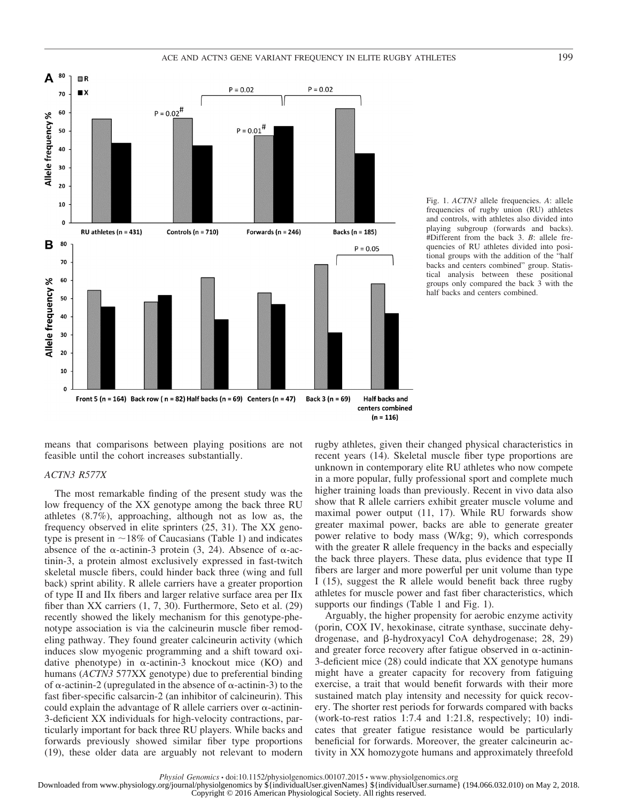



Fig. 1. *ACTN3* allele frequencies. *A*: allele frequencies of rugby union (RU) athletes and controls, with athletes also divided into playing subgroup (forwards and backs). #Different from the back 3. *B*: allele frequencies of RU athletes divided into positional groups with the addition of the "half backs and centers combined" group. Statistical analysis between these positional groups only compared the back 3 with the half backs and centers combined.

means that comparisons between playing positions are not feasible until the cohort increases substantially.

#### *ACTN3 R577X*

The most remarkable finding of the present study was the low frequency of the XX genotype among the back three RU athletes (8.7%), approaching, although not as low as, the frequency observed in elite sprinters (25, 31). The XX genotype is present in  $\sim$ 18% of Caucasians (Table 1) and indicates absence of the  $\alpha$ -actinin-3 protein (3, 24). Absence of  $\alpha$ -actinin-3, a protein almost exclusively expressed in fast-twitch skeletal muscle fibers, could hinder back three (wing and full back) sprint ability. R allele carriers have a greater proportion of type II and IIx fibers and larger relative surface area per IIx fiber than XX carriers (1, 7, 30). Furthermore, Seto et al. (29) recently showed the likely mechanism for this genotype-phenotype association is via the calcineurin muscle fiber remodeling pathway. They found greater calcineurin activity (which induces slow myogenic programming and a shift toward oxidative phenotype) in  $\alpha$ -actinin-3 knockout mice (KO) and humans (*ACTN3* 577XX genotype) due to preferential binding of  $\alpha$ -actinin-2 (upregulated in the absence of  $\alpha$ -actinin-3) to the fast fiber-specific calsarcin-2 (an inhibitor of calcineurin). This could explain the advantage of R allele carriers over  $\alpha$ -actinin-3-deficient XX individuals for high-velocity contractions, particularly important for back three RU players. While backs and forwards previously showed similar fiber type proportions (19), these older data are arguably not relevant to modern rugby athletes, given their changed physical characteristics in recent years (14). Skeletal muscle fiber type proportions are unknown in contemporary elite RU athletes who now compete in a more popular, fully professional sport and complete much higher training loads than previously. Recent in vivo data also show that R allele carriers exhibit greater muscle volume and maximal power output (11, 17). While RU forwards show greater maximal power, backs are able to generate greater power relative to body mass (W/kg; 9), which corresponds with the greater R allele frequency in the backs and especially the back three players. These data, plus evidence that type II fibers are larger and more powerful per unit volume than type I (15), suggest the R allele would benefit back three rugby athletes for muscle power and fast fiber characteristics, which supports our findings (Table 1 and Fig. 1).

Arguably, the higher propensity for aerobic enzyme activity (porin, COX IV, hexokinase, citrate synthase, succinate dehydrogenase, and  $\beta$ -hydroxyacyl CoA dehydrogenase; 28, 29) and greater force recovery after fatigue observed in  $\alpha$ -actinin-3-deficient mice (28) could indicate that XX genotype humans might have a greater capacity for recovery from fatiguing exercise, a trait that would benefit forwards with their more sustained match play intensity and necessity for quick recovery. The shorter rest periods for forwards compared with backs (work-to-rest ratios 1:7.4 and 1:21.8, respectively; 10) indicates that greater fatigue resistance would be particularly beneficial for forwards. Moreover, the greater calcineurin activity in XX homozygote humans and approximately threefold

*Physiol Genomics* • doi:10.1152/physiolgenomics.00107.2015 • www.physiolgenomics.org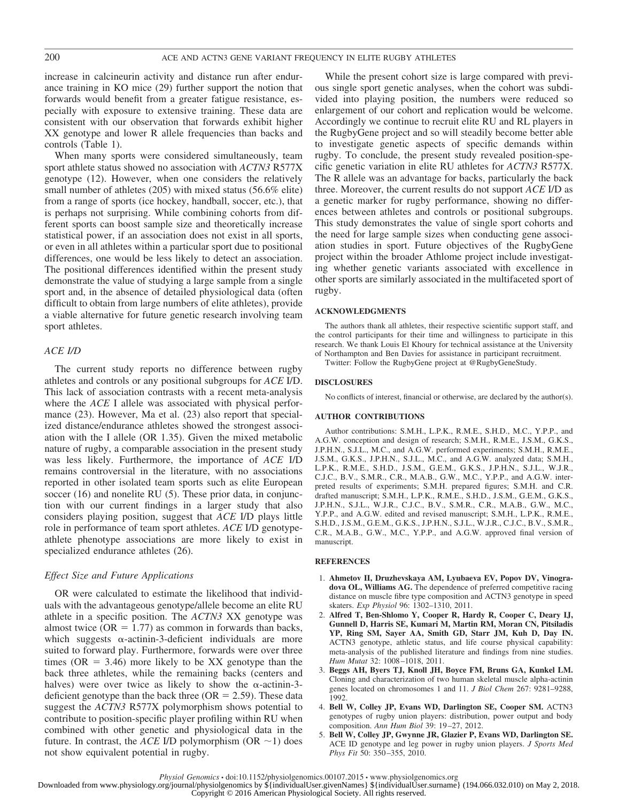increase in calcineurin activity and distance run after endurance training in KO mice (29) further support the notion that forwards would benefit from a greater fatigue resistance, especially with exposure to extensive training. These data are consistent with our observation that forwards exhibit higher XX genotype and lower R allele frequencies than backs and controls (Table 1).

When many sports were considered simultaneously, team sport athlete status showed no association with *ACTN3* R577X genotype (12). However, when one considers the relatively small number of athletes (205) with mixed status (56.6% elite) from a range of sports (ice hockey, handball, soccer, etc.), that is perhaps not surprising. While combining cohorts from different sports can boost sample size and theoretically increase statistical power, if an association does not exist in all sports, or even in all athletes within a particular sport due to positional differences, one would be less likely to detect an association. The positional differences identified within the present study demonstrate the value of studying a large sample from a single sport and, in the absence of detailed physiological data (often difficult to obtain from large numbers of elite athletes), provide a viable alternative for future genetic research involving team sport athletes.

#### *ACE I/D*

The current study reports no difference between rugby athletes and controls or any positional subgroups for *ACE* I/D. This lack of association contrasts with a recent meta-analysis where the *ACE* I allele was associated with physical performance (23). However, Ma et al. (23) also report that specialized distance/endurance athletes showed the strongest association with the I allele (OR 1.35). Given the mixed metabolic nature of rugby, a comparable association in the present study was less likely. Furthermore, the importance of *ACE* I/D remains controversial in the literature, with no associations reported in other isolated team sports such as elite European soccer (16) and nonelite RU (5). These prior data, in conjunction with our current findings in a larger study that also considers playing position, suggest that *ACE* I/D plays little role in performance of team sport athletes. *ACE* I/D genotypeathlete phenotype associations are more likely to exist in specialized endurance athletes (26).

#### *Effect Size and Future Applications*

OR were calculated to estimate the likelihood that individuals with the advantageous genotype/allele become an elite RU athlete in a specific position. The *ACTN3* XX genotype was almost twice ( $OR = 1.77$ ) as common in forwards than backs, which suggests  $\alpha$ -actinin-3-deficient individuals are more suited to forward play. Furthermore, forwards were over three times ( $OR = 3.46$ ) more likely to be XX genotype than the back three athletes, while the remaining backs (centers and halves) were over twice as likely to show the  $\alpha$ -actinin-3deficient genotype than the back three  $(OR = 2.59)$ . These data suggest the *ACTN3* R577X polymorphism shows potential to contribute to position-specific player profiling within RU when combined with other genetic and physiological data in the future. In contrast, the *ACE* I/D polymorphism (OR  $\sim$  1) does not show equivalent potential in rugby.

While the present cohort size is large compared with previous single sport genetic analyses, when the cohort was subdivided into playing position, the numbers were reduced so enlargement of our cohort and replication would be welcome. Accordingly we continue to recruit elite RU and RL players in the RugbyGene project and so will steadily become better able to investigate genetic aspects of specific demands within rugby. To conclude, the present study revealed position-specific genetic variation in elite RU athletes for *ACTN3* R577X. The R allele was an advantage for backs, particularly the back three. Moreover, the current results do not support *ACE* I/D as a genetic marker for rugby performance, showing no differences between athletes and controls or positional subgroups. This study demonstrates the value of single sport cohorts and the need for large sample sizes when conducting gene association studies in sport. Future objectives of the RugbyGene project within the broader Athlome project include investigating whether genetic variants associated with excellence in other sports are similarly associated in the multifaceted sport of rugby.

#### **ACKNOWLEDGMENTS**

The authors thank all athletes, their respective scientific support staff, and the control participants for their time and willingness to participate in this research. We thank Louis El Khoury for technical assistance at the University of Northampton and Ben Davies for assistance in participant recruitment.

Twitter: Follow the RugbyGene project at @RugbyGeneStudy.

#### **DISCLOSURES**

No conflicts of interest, financial or otherwise, are declared by the author(s).

#### **AUTHOR CONTRIBUTIONS**

Author contributions: S.M.H., L.P.K., R.M.E., S.H.D., M.C., Y.P.P., and A.G.W. conception and design of research; S.M.H., R.M.E., J.S.M., G.K.S., J.P.H.N., S.J.L., M.C., and A.G.W. performed experiments; S.M.H., R.M.E., J.S.M., G.K.S., J.P.H.N., S.J.L., M.C., and A.G.W. analyzed data; S.M.H., L.P.K., R.M.E., S.H.D., J.S.M., G.E.M., G.K.S., J.P.H.N., S.J.L., W.J.R., C.J.C., B.V., S.M.R., C.R., M.A.B., G.W., M.C., Y.P.P., and A.G.W. interpreted results of experiments; S.M.H. prepared figures; S.M.H. and C.R. drafted manuscript; S.M.H., L.P.K., R.M.E., S.H.D., J.S.M., G.E.M., G.K.S., J.P.H.N., S.J.L., W.J.R., C.J.C., B.V., S.M.R., C.R., M.A.B., G.W., M.C., Y.P.P., and A.G.W. edited and revised manuscript; S.M.H., L.P.K., R.M.E., S.H.D., J.S.M., G.E.M., G.K.S., J.P.H.N., S.J.L., W.J.R., C.J.C., B.V., S.M.R., C.R., M.A.B., G.W., M.C., Y.P.P., and A.G.W. approved final version of manuscript.

#### **REFERENCES**

- 1. **Ahmetov II, Druzhevskaya AM, Lyubaeva EV, Popov DV, Vinogradova OL, Williams AG.** The dependence of preferred competitive racing distance on muscle fibre type composition and ACTN3 genotype in speed skaters. *Exp Physiol* 96: 1302–1310, 2011.
- 2. **Alfred T, Ben-Shlomo Y, Cooper R, Hardy R, Cooper C, Deary IJ, Gunnell D, Harris SE, Kumari M, Martin RM, Moran CN, Pitsiladis YP, Ring SM, Sayer AA, Smith GD, Starr JM, Kuh D, Day IN.** ACTN3 genotype, athletic status, and life course physical capability: meta-analysis of the published literature and findings from nine studies. *Hum Mutat* 32: 1008 –1018, 2011.
- 3. **Beggs AH, Byers TJ, Knoll JH, Boyce FM, Bruns GA, Kunkel LM.** Cloning and characterization of two human skeletal muscle alpha-actinin genes located on chromosomes 1 and 11. *J Biol Chem* 267: 9281–9288, 1992.
- 4. **Bell W, Colley JP, Evans WD, Darlington SE, Cooper SM.** ACTN3 genotypes of rugby union players: distribution, power output and body composition. *Ann Hum Biol* 39: 19 –27, 2012.
- 5. **Bell W, Colley JP, Gwynne JR, Glazier P, Evans WD, Darlington SE.** ACE ID genotype and leg power in rugby union players. *J Sports Med Phys Fit* 50: 350 –355, 2010.

Downloaded from www.physiology.org/journal/physiolgenomics by \${individualUser.givenNames} \${individualUser.surname} (194.066.032.010) on May 2, 2018.

*Physiol Genomics* • doi:10.1152/physiolgenomics.00107.2015 • www.physiolgenomics.org